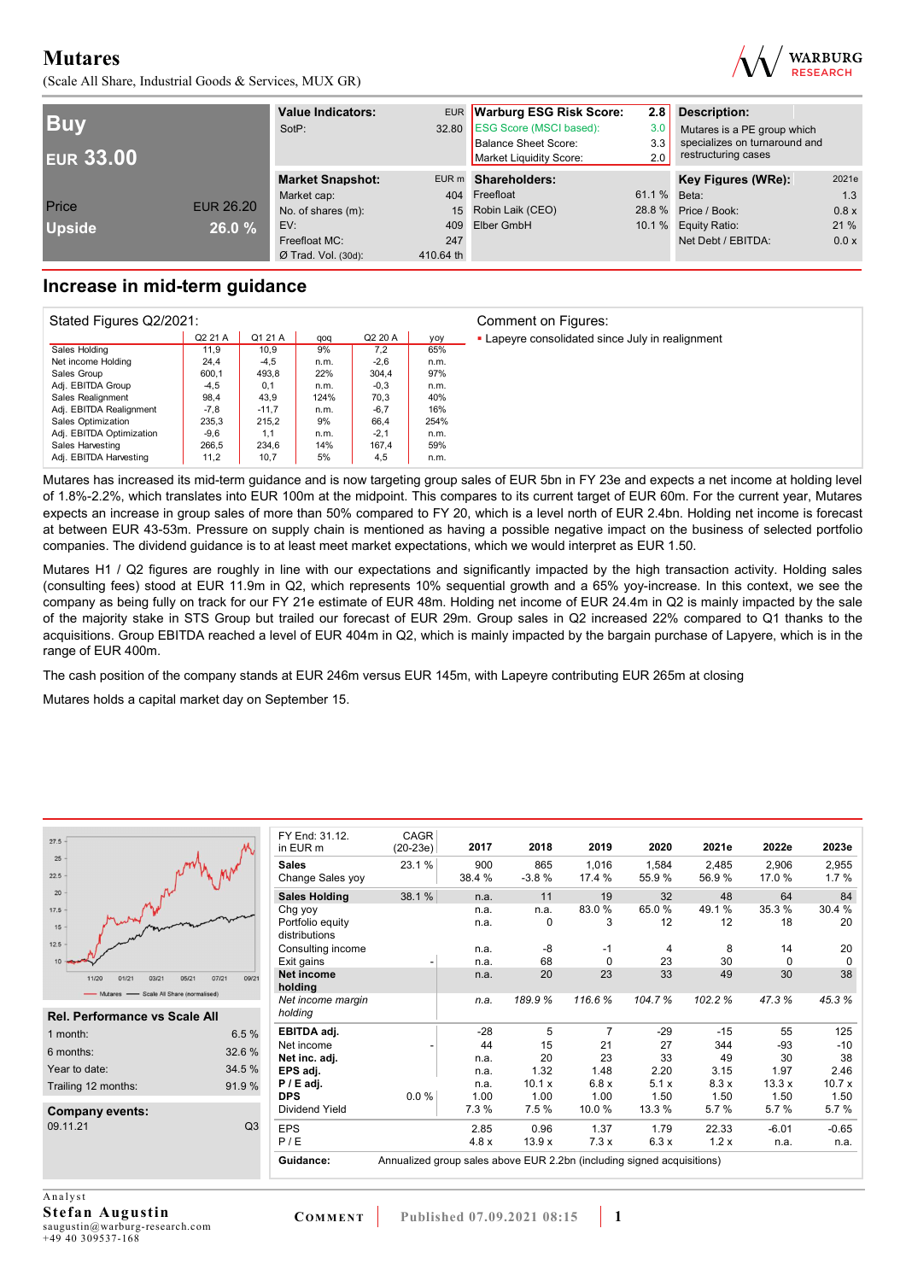(Scale All Share, Industrial Goods & Services, MUX GR)



| <b>Buy</b><br><b>EUR 33.00</b> |                  | <b>Value Indicators:</b><br>SotP: |           | EUR Warburg ESG Risk Score:<br>32.80 ESG Score (MSCI based):<br>Balance Sheet Score:<br>Market Liquidity Score: | 2.8<br>3.0<br>3.3<br>2.0 | Description:<br>Mutares is a PE group which<br>specializes on turnaround and<br>restructuring cases |       |  |
|--------------------------------|------------------|-----------------------------------|-----------|-----------------------------------------------------------------------------------------------------------------|--------------------------|-----------------------------------------------------------------------------------------------------|-------|--|
|                                |                  | <b>Market Snapshot:</b>           |           | EUR m Shareholders:                                                                                             |                          | Key Figures (WRe):                                                                                  | 2021e |  |
|                                |                  | Market cap:                       |           | 404 Freefloat                                                                                                   | 61.1 % Beta:             |                                                                                                     | 1.3   |  |
| Price                          | <b>EUR 26.20</b> | No. of shares (m):                |           | 15 Robin Laik (CEO)                                                                                             |                          | 28.8 % Price / Book:                                                                                | 0.8x  |  |
| <b>Upside</b>                  | 26.0%            | EV:                               | 409       | Elber GmbH                                                                                                      |                          | 10.1 % Equity Ratio:                                                                                | 21 %  |  |
|                                |                  | Freefloat MC:                     | 247       |                                                                                                                 |                          | Net Debt / EBITDA:                                                                                  | 0.0 x |  |
|                                |                  | $Ø$ Trad. Vol. (30d):             | 410.64 th |                                                                                                                 |                          |                                                                                                     |       |  |

## **Increase in mid-term guidance**

| Stated Figures Q2/2021:  |         |         |      |         |      | Comment on Figures:                              |
|--------------------------|---------|---------|------|---------|------|--------------------------------------------------|
|                          | Q2 21 A | Q1 21 A | qoq  | Q2 20 A | yoy  | • Lapeyre consolidated since July in realignment |
| Sales Holding            | 11,9    | 10.9    | 9%   | 7.2     | 65%  |                                                  |
| Net income Holding       | 24,4    | $-4,5$  | n.m. | $-2,6$  | n.m. |                                                  |
| Sales Group              | 600,1   | 493,8   | 22%  | 304.4   | 97%  |                                                  |
| Adj. EBITDA Group        | $-4,5$  | 0,1     | n.m. | $-0.3$  | n.m. |                                                  |
| Sales Realignment        | 98,4    | 43,9    | 124% | 70.3    | 40%  |                                                  |
| Adj. EBITDA Realignment  | $-7.8$  | $-11.7$ | n.m. | $-6.7$  | 16%  |                                                  |
| Sales Optimization       | 235,3   | 215.2   | 9%   | 66,4    | 254% |                                                  |
| Adj. EBITDA Optimization | $-9,6$  | 1,1     | n.m. | $-2.1$  | n.m. |                                                  |
| Sales Harvesting         | 266,5   | 234.6   | 14%  | 167.4   | 59%  |                                                  |
| Adj. EBITDA Harvesting   | 11,2    | 10,7    | 5%   | 4,5     | n.m. |                                                  |

Mutares has increased its mid-term guidance and is now targeting group sales of EUR 5bn in FY 23e and expects a net income at holding level of 1.8%-2.2%, which translates into EUR 100m at the midpoint. This compares to its current target of EUR 60m. For the current year, Mutares expects an increase in group sales of more than 50% compared to FY 20, which is a level north of EUR 2.4bn. Holding net income is forecast at between EUR 43-53m. Pressure on supply chain is mentioned as having a possible negative impact on the business of selected portfolio companies. The dividend guidance is to at least meet market expectations, which we would interpret as EUR 1.50.

Mutares H1 / Q2 figures are roughly in line with our expectations and significantly impacted by the high transaction activity. Holding sales (consulting fees) stood at EUR 11.9m in Q2, which represents 10% sequential growth and a 65% yoy-increase. In this context, we see the company as being fully on track for our FY 21e estimate of EUR 48m. Holding net income of EUR 24.4m in Q2 is mainly impacted by the sale of the majority stake in STS Group but trailed our forecast of EUR 29m. Group sales in Q2 increased 22% compared to Q1 thanks to the acquisitions. Group EBITDA reached a level of EUR 404m in Q2, which is mainly impacted by the bargain purchase of Lapyere, which is in the range of EUR 400m.

The cash position of the company stands at EUR 246m versus EUR 145m, with Lapeyre contributing EUR 265m at closing

Mutares holds a capital market day on September 15.

| 27.5                                   |                | FY End: 31.12.<br>in EUR m       | CAGR<br>$(20-23e)$                                                     | 2017          | 2018           | 2019            | 2020            | 2021e          | 2022e          | 2023e         |
|----------------------------------------|----------------|----------------------------------|------------------------------------------------------------------------|---------------|----------------|-----------------|-----------------|----------------|----------------|---------------|
| 25<br>22.5                             |                | <b>Sales</b><br>Change Sales yoy | 23.1%                                                                  | 900<br>38.4 % | 865<br>$-3.8%$ | 1,016<br>17.4 % | 1.584<br>55.9 % | 2.485<br>56.9% | 2,906<br>17.0% | 2,955<br>1.7% |
| 20                                     |                | <b>Sales Holding</b>             | 38.1%                                                                  | n.a.          | 11             | 19              | 32              | 48             | 64             | 84            |
| 17.5                                   |                | Chg yoy                          |                                                                        | n.a.          | n.a.           | 83.0%           | 65.0%           | 49.1%          | 35.3%          | 30.4 %        |
| 15                                     |                | Portfolio equity                 |                                                                        | n.a.          | $\mathbf 0$    | 3               | 12              | 12             | 18             | 20            |
|                                        |                | distributions                    |                                                                        |               |                |                 |                 |                |                |               |
| 12.5                                   |                | Consulting income                |                                                                        | n.a.          | -8             | $-1$            | 4               | 8              | 14             | 20            |
| 10 <sup>1</sup>                        |                | Exit gains                       |                                                                        | n.a.          | 68             | $\Omega$        | 23              | 30             | $\mathbf 0$    | $\Omega$      |
| 11/20<br>01/21<br>03/21<br>05/21       | 07/21<br>09/21 | Net income<br>holding            |                                                                        | n.a.          | 20             | 23              | 33              | 49             | 30             | 38            |
| Mutares - Scale All Share (normalised) |                | Net income margin                |                                                                        | n.a.          | 189.9%         | 116.6%          | 104.7%          | 102.2%         | 47.3%          | 45.3%         |
| <b>Rel. Performance vs Scale All</b>   |                | holding                          |                                                                        |               |                |                 |                 |                |                |               |
| 1 month:                               | 6.5%           | EBITDA adj.                      |                                                                        | $-28$         | 5              | 7               | $-29$           | $-15$          | 55             | 125           |
|                                        |                | Net income                       |                                                                        | 44            | 15             | 21              | 27              | 344            | $-93$          | $-10$         |
| 6 months:                              | 32.6 %         | Net inc. adi.                    |                                                                        | n.a.          | 20             | 23              | 33              | 49             | 30             | 38            |
| Year to date:                          | 34.5 %         | EPS adj.                         |                                                                        | n.a.          | 1.32           | 1.48            | 2.20            | 3.15           | 1.97           | 2.46          |
| Trailing 12 months:                    | 91.9%          | $P / E$ adj.                     |                                                                        | n.a.          | 10.1 x         | 6.8x            | 5.1x            | 8.3x           | 13.3x          | 10.7x         |
|                                        |                | <b>DPS</b>                       | $0.0\%$                                                                | 1.00          | 1.00           | 1.00            | 1.50            | 1.50           | 1.50           | 1.50          |
| <b>Company events:</b>                 |                | Dividend Yield                   |                                                                        | 7.3 %         | 7.5%           | 10.0%           | 13.3 %          | 5.7 %          | 5.7%           | 5.7%          |
| 09.11.21                               | Q3             | <b>EPS</b>                       |                                                                        | 2.85          | 0.96           | 1.37            | 1.79            | 22.33          | $-6.01$        | $-0.65$       |
|                                        |                | P/E                              |                                                                        | 4.8x          | 13.9x          | 7.3x            | 6.3x            | 1.2x           | n.a.           | n.a.          |
|                                        |                | Guidance:                        | Annualized group sales above EUR 2.2bn (including signed acquisitions) |               |                |                 |                 |                |                |               |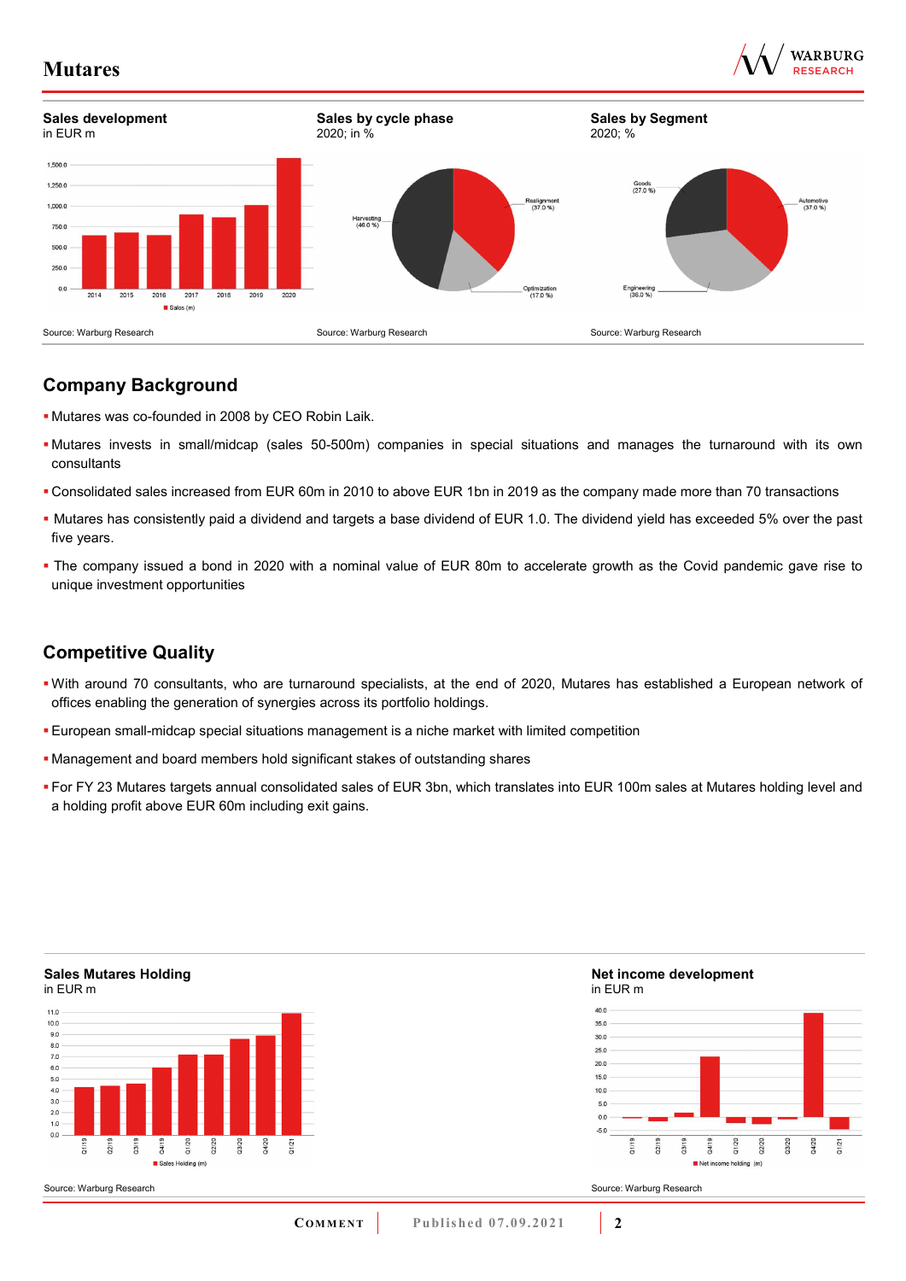

13/20 14/20

22/20



## **Company Background**

- Mutares was co-founded in 2008 by CEO Robin Laik.
- Mutares invests in small/midcap (sales 50-500m) companies in special situations and manages the turnaround with its own consultants
- Consolidated sales increased from EUR 60m in 2010 to above EUR 1bn in 2019 as the company made more than 70 transactions
- Mutares has consistently paid a dividend and targets a base dividend of EUR 1.0. The dividend yield has exceeded 5% over the past five years.
- The company issued a bond in 2020 with a nominal value of EUR 80m to accelerate growth as the Covid pandemic gave rise to unique investment opportunities

# **Competitive Quality**

- With around 70 consultants, who are turnaround specialists, at the end of 2020, Mutares has established a European network of offices enabling the generation of synergies across its portfolio holdings.
- European small-midcap special situations management is a niche market with limited competition
- Management and board members hold significant stakes of outstanding shares
- For FY 23 Mutares targets annual consolidated sales of EUR 3bn, which translates into EUR 100m sales at Mutares holding level and a holding profit above EUR 60m including exit gains.

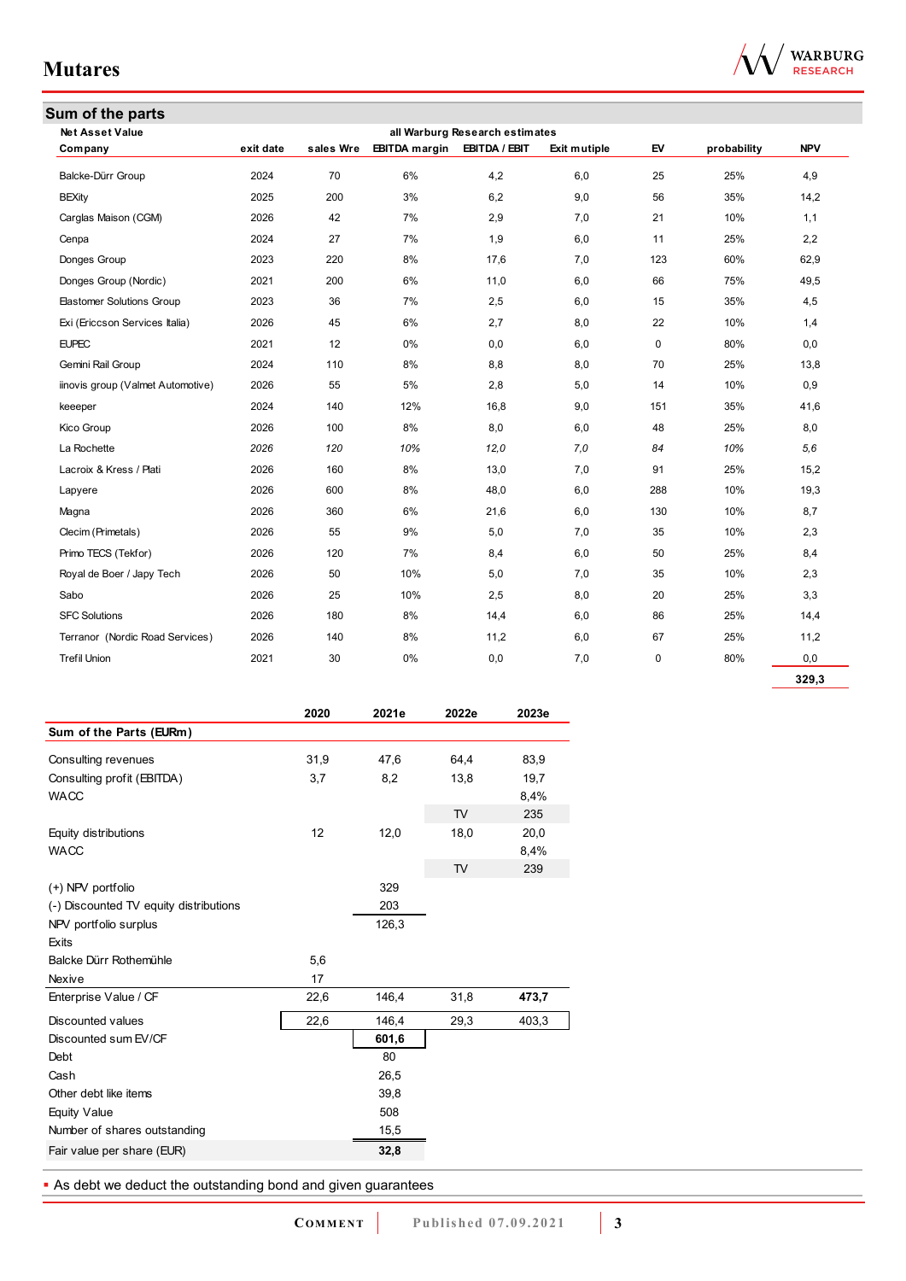| <b>Net Asset Value</b>            |           |           |                             | all Warburg Research estimates |              |             |             |            |
|-----------------------------------|-----------|-----------|-----------------------------|--------------------------------|--------------|-------------|-------------|------------|
| Company                           | exit date | sales Wre | EBITDA margin EBITDA / EBIT |                                | Exit mutiple | EV          | probability | <b>NPV</b> |
| Balcke-Dürr Group                 | 2024      | 70        | 6%                          | 4,2                            | 6,0          | 25          | 25%         | 4,9        |
| <b>BEXity</b>                     | 2025      | 200       | 3%                          | 6,2                            | 9,0          | 56          | 35%         | 14,2       |
| Carglas Maison (CGM)              | 2026      | 42        | 7%                          | 2,9                            | 7,0          | 21          | 10%         | 1,1        |
| Cenpa                             | 2024      | 27        | 7%                          | 1,9                            | 6,0          | 11          | 25%         | 2,2        |
| Donges Group                      | 2023      | 220       | 8%                          | 17,6                           | 7,0          | 123         | 60%         | 62,9       |
| Donges Group (Nordic)             | 2021      | 200       | 6%                          | 11,0                           | 6,0          | 66          | 75%         | 49,5       |
| <b>Elastomer Solutions Group</b>  | 2023      | 36        | 7%                          | 2,5                            | 6,0          | 15          | 35%         | 4,5        |
| Exi (Ericcson Services Italia)    | 2026      | 45        | 6%                          | 2,7                            | 8,0          | 22          | 10%         | 1,4        |
| <b>EUPEC</b>                      | 2021      | 12        | 0%                          | 0,0                            | 6,0          | $\mathbf 0$ | 80%         | 0,0        |
| Gemini Rail Group                 | 2024      | 110       | 8%                          | 8,8                            | 8,0          | 70          | 25%         | 13,8       |
| iinovis group (Valmet Automotive) | 2026      | 55        | 5%                          | 2,8                            | 5,0          | 14          | 10%         | 0,9        |
| keeeper                           | 2024      | 140       | 12%                         | 16,8                           | 9,0          | 151         | 35%         | 41,6       |
| Kico Group                        | 2026      | 100       | 8%                          | 8,0                            | 6,0          | 48          | 25%         | 8,0        |
| La Rochette                       | 2026      | 120       | 10%                         | 12.0                           | 7,0          | 84          | 10%         | 5.6        |
| Lacroix & Kress / Plati           | 2026      | 160       | 8%                          | 13,0                           | 7,0          | 91          | 25%         | 15,2       |
| Lapyere                           | 2026      | 600       | 8%                          | 48,0                           | 6,0          | 288         | 10%         | 19,3       |
| Magna                             | 2026      | 360       | 6%                          | 21,6                           | 6,0          | 130         | 10%         | 8,7        |
| Clecim (Primetals)                | 2026      | 55        | 9%                          | 5,0                            | 7,0          | 35          | 10%         | 2,3        |
| Primo TECS (Tekfor)               | 2026      | 120       | 7%                          | 8,4                            | 6,0          | 50          | 25%         | 8,4        |
| Royal de Boer / Japy Tech         | 2026      | 50        | 10%                         | 5,0                            | 7,0          | 35          | 10%         | 2,3        |
| Sabo                              | 2026      | 25        | 10%                         | 2,5                            | 8,0          | 20          | 25%         | 3,3        |
| <b>SFC Solutions</b>              | 2026      | 180       | 8%                          | 14,4                           | 6,0          | 86          | 25%         | 14,4       |
| Terranor (Nordic Road Services)   | 2026      | 140       | 8%                          | 11,2                           | 6,0          | 67          | 25%         | 11,2       |
| <b>Trefil Union</b>               | 2021      | 30        | 0%                          | 0,0                            | 7,0          | $\mathbf 0$ | 80%         | 0,0        |
|                                   |           |           |                             |                                |              |             |             | 329,3      |

 $\bigvee$  WARBURG

|                                        | 2020 | 2021e | 2022e | 2023e |
|----------------------------------------|------|-------|-------|-------|
| Sum of the Parts (EURm)                |      |       |       |       |
| Consulting revenues                    | 31,9 | 47,6  | 64,4  | 83,9  |
| Consulting profit (EBITDA)             | 3,7  | 8,2   | 13,8  | 19,7  |
| <b>WACC</b>                            |      |       |       | 8,4%  |
|                                        |      |       | TV.   | 235   |
| Equity distributions                   | 12   | 12,0  | 18,0  | 20,0  |
| <b>WACC</b>                            |      |       |       | 8,4%  |
|                                        |      |       | TV    | 239   |
| (+) NPV portfolio                      |      | 329   |       |       |
| (-) Discounted TV equity distributions |      | 203   |       |       |
| NPV portfolio surplus                  |      | 126,3 |       |       |
| Exits                                  |      |       |       |       |
| Balcke Dürr Rothemühle                 | 5,6  |       |       |       |
| Nexive                                 | 17   |       |       |       |
| Enterprise Value / CF                  | 22,6 | 146,4 | 31,8  | 473,7 |
| <b>Discounted values</b>               | 22,6 | 146,4 | 29,3  | 403,3 |
| Discounted sum EV/CF                   |      | 601,6 |       |       |
| Debt                                   |      | 80    |       |       |
| Cash                                   |      | 26,5  |       |       |
| Other debt like items                  |      | 39,8  |       |       |
| <b>Equity Value</b>                    |      | 508   |       |       |
| Number of shares outstanding           |      | 15,5  |       |       |
| Fair value per share (EUR)             |      | 32,8  |       |       |

As debt we deduct the outstanding bond and given guarantees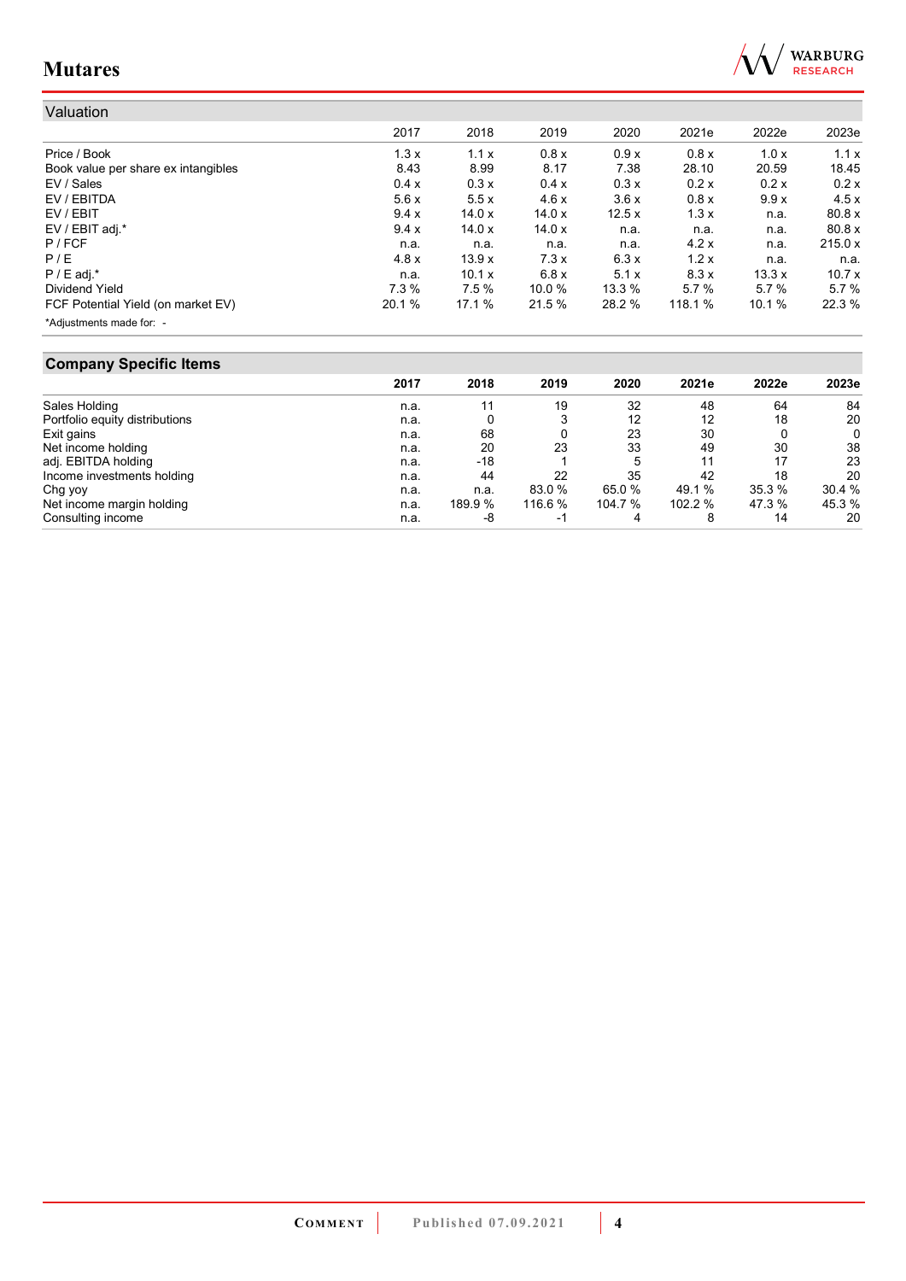

| Valuation                           |        |               |        |        |         |        |         |
|-------------------------------------|--------|---------------|--------|--------|---------|--------|---------|
|                                     | 2017   | 2018          | 2019   | 2020   | 2021e   | 2022e  | 2023e   |
| Price / Book                        | 1.3x   | 1.1x          | 0.8x   | 0.9x   | 0.8x    | 1.0x   | 1.1x    |
| Book value per share ex intangibles | 8.43   | 8.99          | 8.17   | 7.38   | 28.10   | 20.59  | 18.45   |
| EV / Sales                          | 0.4 x  | 0.3x          | 0.4 x  | 0.3x   | 0.2x    | 0.2x   | 0.2x    |
| EV / EBITDA                         | 5.6x   | 5.5x          | 4.6x   | 3.6x   | 0.8x    | 9.9x   | 4.5x    |
| EV / EBIT                           | 9.4x   | 14.0x         | 14.0x  | 12.5x  | 1.3x    | n.a.   | 80.8x   |
| EV / EBIT adj.*                     | 9.4 x  | 14.0x         | 14.0x  | n.a.   | n.a.    | n.a.   | 80.8x   |
| $P$ / FCF                           | n.a.   | n.a.          | n.a.   | n.a.   | 4.2x    | n.a.   | 215.0 x |
| P/E                                 | 4.8x   | 13.9x         | 7.3x   | 6.3x   | 1.2x    | n.a.   | n.a.    |
| $P / E$ adj.*                       | n.a.   | 10.1 $\times$ | 6.8x   | 5.1x   | 8.3x    | 13.3x  | 10.7x   |
| Dividend Yield                      | 7.3%   | 7.5%          | 10.0%  | 13.3 % | 5.7%    | 5.7%   | 5.7%    |
| FCF Potential Yield (on market EV)  | 20.1 % | 17.1 %        | 21.5 % | 28.2 % | 118.1 % | 10.1 % | 22.3 %  |
| *Adjustments made for: -            |        |               |        |        |         |        |         |

## **Company Specific Items**

|                                | 2017 | 2018    | 2019    | 2020   | 2021e  | 2022e  | 2023e  |
|--------------------------------|------|---------|---------|--------|--------|--------|--------|
| Sales Holding                  | n.a. | 11      | 19      | 32     | 48     | 64     | 84     |
| Portfolio equity distributions | n.a. |         |         | 12     | 12     | 18     | 20     |
| Exit gains                     | n.a. | 68      |         | 23     | 30     |        | 0      |
| Net income holding             | n.a. | 20      | 23      | 33     | 49     | 30     | 38     |
| adj. EBITDA holding            | n.a. | $-18$   |         | 5      | 11     | 17     | 23     |
| Income investments holding     | n.a. | 44      | 22      | 35     | 42     | 18     | 20     |
| Chg yoy                        | n.a. | n.a.    | 83.0 %  | 65.0 % | 49.1 % | 35.3 % | 30.4 % |
| Net income margin holding      | n.a. | 189.9 % | 116.6 % | 104.7% | 102.2% | 47.3 % | 45.3 % |
| Consulting income              | n.a. | -8      | -1      | 4      |        | 14     | 20     |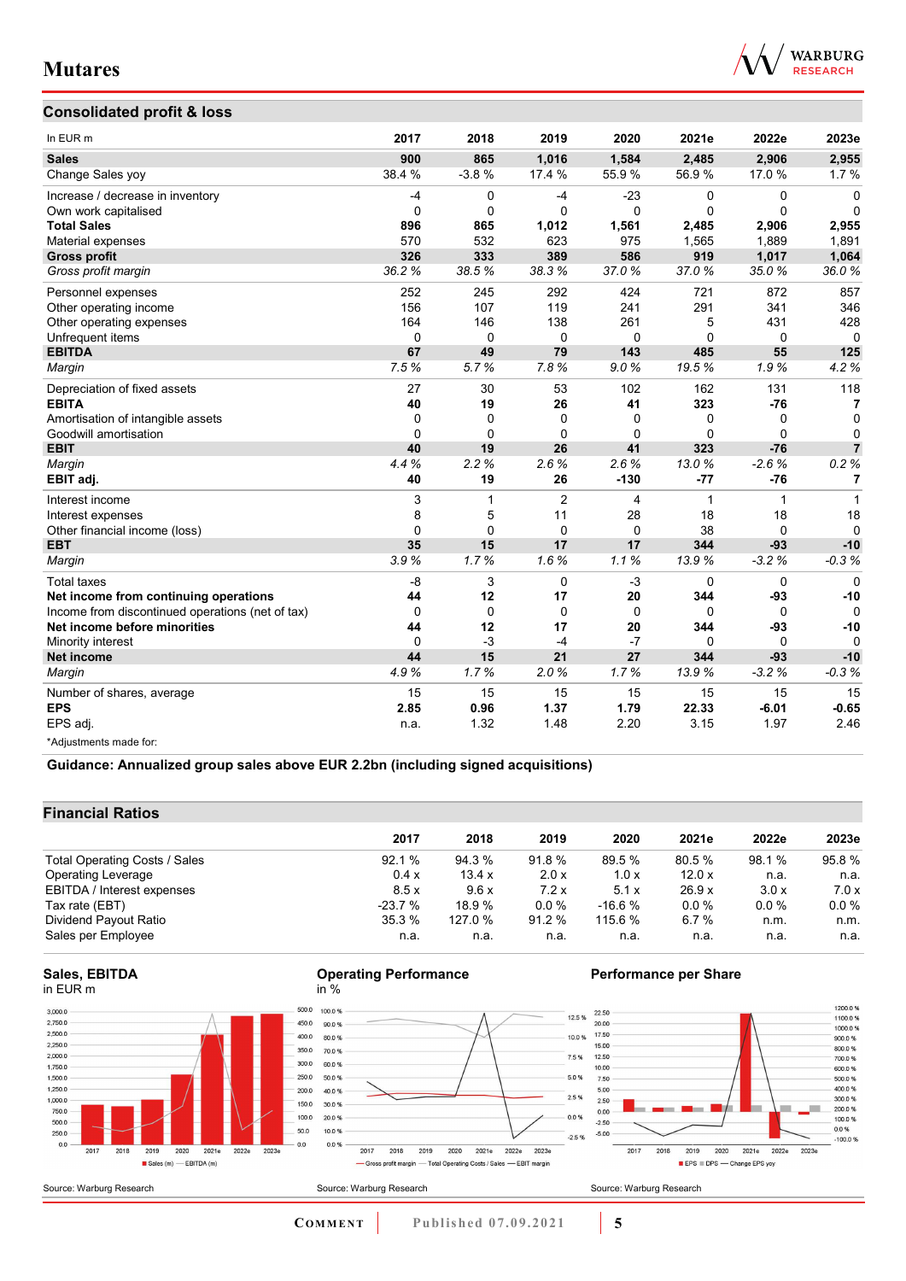

## **Consolidated profit & loss**

| In EUR m                                         | 2017        | 2018         | 2019           | 2020        | 2021e    | 2022e        | 2023e          |
|--------------------------------------------------|-------------|--------------|----------------|-------------|----------|--------------|----------------|
| <b>Sales</b>                                     | 900         | 865          | 1,016          | 1,584       | 2,485    | 2,906        | 2,955          |
| Change Sales yoy                                 | 38.4 %      | $-3.8%$      | 17.4 %         | 55.9%       | 56.9%    | 17.0%        | 1.7%           |
| Increase / decrease in inventory                 | $-4$        | 0            | $-4$           | $-23$       | 0        | 0            | $\Omega$       |
| Own work capitalised                             | $\Omega$    | $\mathbf{0}$ | $\Omega$       | $\Omega$    | 0        | $\mathbf{0}$ | $\mathbf{0}$   |
| <b>Total Sales</b>                               | 896         | 865          | 1.012          | 1,561       | 2,485    | 2,906        | 2,955          |
| Material expenses                                | 570         | 532          | 623            | 975         | 1,565    | 1,889        | 1,891          |
| <b>Gross profit</b>                              | 326         | 333          | 389            | 586         | 919      | 1,017        | 1,064          |
| Gross profit margin                              | 36.2%       | 38.5%        | 38.3%          | 37.0%       | 37.0%    | 35.0%        | 36.0%          |
| Personnel expenses                               | 252         | 245          | 292            | 424         | 721      | 872          | 857            |
| Other operating income                           | 156         | 107          | 119            | 241         | 291      | 341          | 346            |
| Other operating expenses                         | 164         | 146          | 138            | 261         | 5        | 431          | 428            |
| Unfrequent items                                 | $\mathbf 0$ | $\mathbf 0$  | $\mathbf 0$    | $\mathbf 0$ | 0        | $\mathbf 0$  | $\Omega$       |
| <b>EBITDA</b>                                    | 67          | 49           | 79             | 143         | 485      | 55           | 125            |
| Margin                                           | 7.5%        | 5.7%         | 7.8%           | 9.0%        | 19.5%    | 1.9%         | 4.2%           |
| Depreciation of fixed assets                     | 27          | 30           | 53             | 102         | 162      | 131          | 118            |
| <b>EBITA</b>                                     | 40          | 19           | 26             | 41          | 323      | $-76$        | 7              |
| Amortisation of intangible assets                | 0           | $\Omega$     | 0              | 0           | 0        | 0            | 0              |
| Goodwill amortisation                            | $\Omega$    | $\Omega$     | $\Omega$       | 0           | $\Omega$ | $\Omega$     | $\mathbf 0$    |
| <b>EBIT</b>                                      | 40          | 19           | 26             | 41          | 323      | $-76$        | $\overline{7}$ |
| Margin                                           | 4.4%        | 2.2%         | 2.6%           | 2.6%        | 13.0%    | $-2.6%$      | 0.2%           |
| EBIT adj.                                        | 40          | 19           | 26             | $-130$      | $-77$    | $-76$        | $\overline{7}$ |
| Interest income                                  | 3           | $\mathbf{1}$ | $\overline{2}$ | 4           | 1        | $\mathbf{1}$ | $\mathbf{1}$   |
| Interest expenses                                | 8           | 5            | 11             | 28          | 18       | 18           | 18             |
| Other financial income (loss)                    | $\Omega$    | $\Omega$     | $\mathbf 0$    | 0           | 38       | $\Omega$     | $\Omega$       |
| <b>EBT</b>                                       | 35          | 15           | 17             | 17          | 344      | $-93$        | $-10$          |
| Margin                                           | 3.9%        | 1.7%         | 1.6%           | 1.1%        | 13.9%    | $-3.2%$      | $-0.3%$        |
| <b>Total taxes</b>                               | $-8$        | 3            | $\mathbf 0$    | $-3$        | $\Omega$ | $\mathbf 0$  | $\Omega$       |
| Net income from continuing operations            | 44          | 12           | 17             | 20          | 344      | $-93$        | $-10$          |
| Income from discontinued operations (net of tax) | $\mathbf 0$ | $\Omega$     | $\mathbf 0$    | $\mathbf 0$ | 0        | $\mathbf 0$  | $\mathbf 0$    |
| Net income before minorities                     | 44          | 12           | 17             | 20          | 344      | $-93$        | $-10$          |
| Minority interest                                | $\Omega$    | $-3$         | $-4$           | $-7$        | 0        | 0            | $\Omega$       |
| Net income                                       | 44          | 15           | 21             | 27          | 344      | $-93$        | $-10$          |
| Margin                                           | 4.9%        | 1.7%         | 2.0%           | 1.7%        | 13.9%    | $-3.2%$      | $-0.3%$        |
| Number of shares, average                        | 15          | 15           | 15             | 15          | 15       | 15           | 15             |
| <b>EPS</b>                                       | 2.85        | 0.96         | 1.37           | 1.79        | 22.33    | $-6.01$      | $-0.65$        |
| EPS adj.                                         | n.a.        | 1.32         | 1.48           | 2.20        | 3.15     | 1.97         | 2.46           |
| *Adjustments made for:                           |             |              |                |             |          |              |                |

**Guidance: Annualized group sales above EUR 2.2bn (including signed acquisitions)**

### **Financial Ratios**

|                               | 2017     | 2018    | 2019    | 2020     | 2021e   | 2022e   | 2023e   |
|-------------------------------|----------|---------|---------|----------|---------|---------|---------|
|                               |          |         |         |          |         |         |         |
| Total Operating Costs / Sales | 92.1%    | 94.3 %  | 91.8%   | 89.5 %   | 80.5 %  | 98.1 %  | 95.8%   |
| <b>Operating Leverage</b>     | 0.4x     | 13.4 x  | 2.0 x   | 1.0x     | 12.0x   | n.a.    | n.a.    |
| EBITDA / Interest expenses    | 8.5x     | 9.6x    | 7.2x    | 5.1x     | 26.9x   | 3.0x    | 7.0x    |
| Tax rate (EBT)                | $-23.7%$ | 18.9%   | $0.0\%$ | $-16.6%$ | $0.0\%$ | $0.0\%$ | $0.0\%$ |
| Dividend Payout Ratio         | 35.3 %   | 127.0 % | 91.2%   | 115.6 %  | 6.7%    | n.m.    | n.m.    |
| Sales per Employee            | n.a.     | n.a.    | n.a.    | n.a.     | n.a.    | n.a.    | n.a.    |

#### **Sales, EBITDA** in EUR m



#### **Operating Performance** in %

### **Performance per Share**



**COMMENT** Published 07.09.2021 **5** 

2017 2018 2019 2020 2021e 2022e 2023e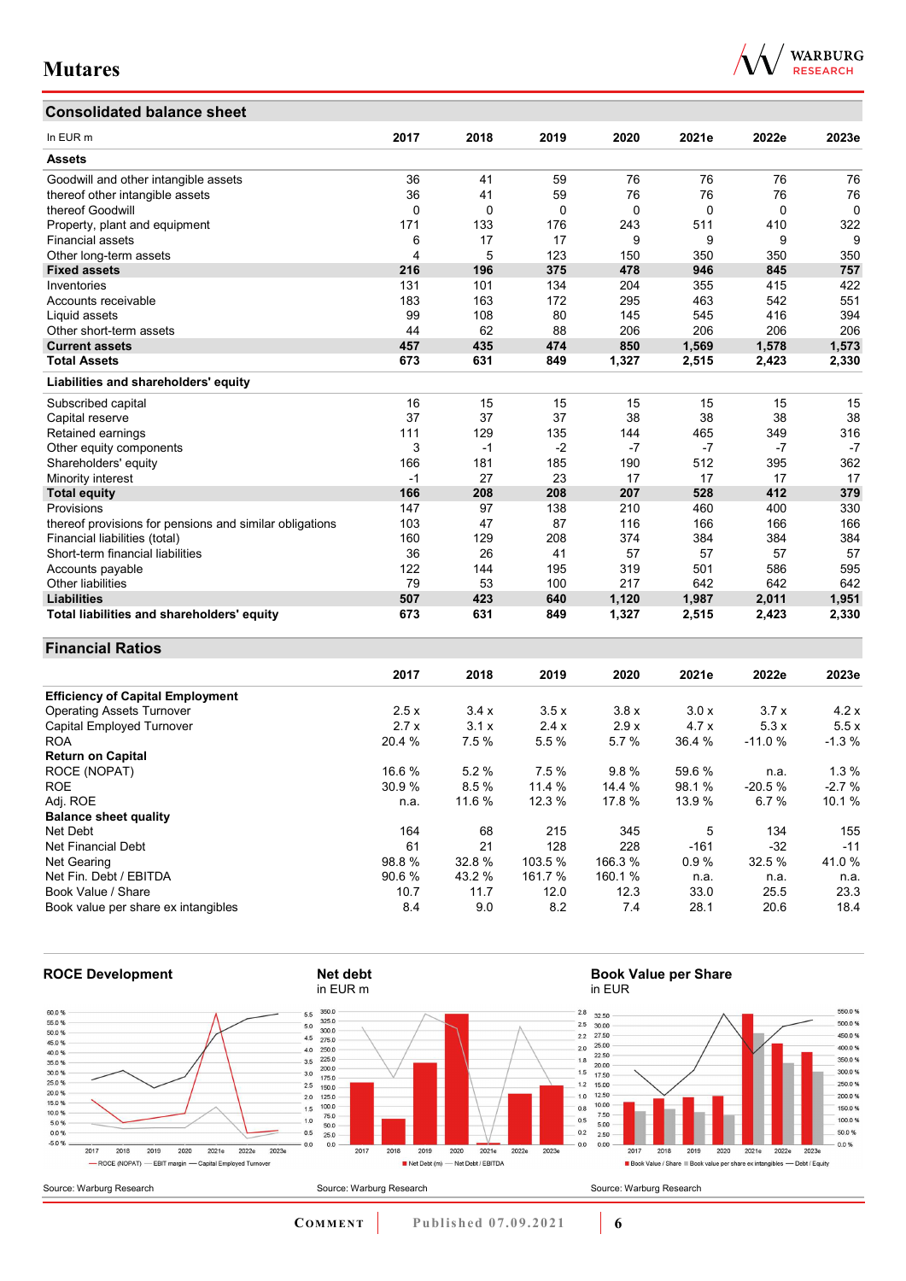## **Consolidated balance sheet**

| In EUR <sub>m</sub>                                     | 2017 | 2018     | 2019 | 2020     | 2021e | 2022e    | 2023e |
|---------------------------------------------------------|------|----------|------|----------|-------|----------|-------|
| <b>Assets</b>                                           |      |          |      |          |       |          |       |
| Goodwill and other intangible assets                    | 36   | 41       | 59   | 76       | 76    | 76       | 76    |
| thereof other intangible assets                         | 36   | 41       | 59   | 76       | 76    | 76       | 76    |
| thereof Goodwill                                        | 0    | $\Omega$ | 0    | $\Omega$ | 0     | $\Omega$ | 0     |
| Property, plant and equipment                           | 171  | 133      | 176  | 243      | 511   | 410      | 322   |
| <b>Financial assets</b>                                 | 6    | 17       | 17   | 9        | 9     | 9        | 9     |
| Other long-term assets                                  | 4    | 5        | 123  | 150      | 350   | 350      | 350   |
| <b>Fixed assets</b>                                     | 216  | 196      | 375  | 478      | 946   | 845      | 757   |
| Inventories                                             | 131  | 101      | 134  | 204      | 355   | 415      | 422   |
| Accounts receivable                                     | 183  | 163      | 172  | 295      | 463   | 542      | 551   |
| Liquid assets                                           | 99   | 108      | 80   | 145      | 545   | 416      | 394   |
| Other short-term assets                                 | 44   | 62       | 88   | 206      | 206   | 206      | 206   |
| <b>Current assets</b>                                   | 457  | 435      | 474  | 850      | 1,569 | 1,578    | 1,573 |
| <b>Total Assets</b>                                     | 673  | 631      | 849  | 1,327    | 2,515 | 2,423    | 2,330 |
| Liabilities and shareholders' equity                    |      |          |      |          |       |          |       |
| Subscribed capital                                      | 16   | 15       | 15   | 15       | 15    | 15       | 15    |
| Capital reserve                                         | 37   | 37       | 37   | 38       | 38    | 38       | 38    |
| Retained earnings                                       | 111  | 129      | 135  | 144      | 465   | 349      | 316   |
| Other equity components                                 | 3    | -1       | $-2$ | $-7$     | $-7$  | $-7$     | $-7$  |
| Shareholders' equity                                    | 166  | 181      | 185  | 190      | 512   | 395      | 362   |
| Minority interest                                       | $-1$ | 27       | 23   | 17       | 17    | 17       | 17    |
| <b>Total equity</b>                                     | 166  | 208      | 208  | 207      | 528   | 412      | 379   |
| <b>Provisions</b>                                       | 147  | 97       | 138  | 210      | 460   | 400      | 330   |
| thereof provisions for pensions and similar obligations | 103  | 47       | 87   | 116      | 166   | 166      | 166   |
| Financial liabilities (total)                           | 160  | 129      | 208  | 374      | 384   | 384      | 384   |
| Short-term financial liabilities                        | 36   | 26       | 41   | 57       | 57    | 57       | 57    |
| Accounts payable                                        | 122  | 144      | 195  | 319      | 501   | 586      | 595   |
| Other liabilities                                       | 79   | 53       | 100  | 217      | 642   | 642      | 642   |

### **Financial Ratios**

|                                         | 2017   | 2018   | 2019    | 2020    | 2021e  | 2022e    | 2023e   |
|-----------------------------------------|--------|--------|---------|---------|--------|----------|---------|
| <b>Efficiency of Capital Employment</b> |        |        |         |         |        |          |         |
| <b>Operating Assets Turnover</b>        | 2.5x   | 3.4x   | 3.5x    | 3.8x    | 3.0x   | 3.7x     | 4.2x    |
| Capital Employed Turnover               | 2.7x   | 3.1x   | 2.4x    | 2.9x    | 4.7x   | 5.3x     | 5.5x    |
| <b>ROA</b>                              | 20.4 % | 7.5%   | 5.5 %   | 5.7 %   | 36.4 % | $-11.0%$ | $-1.3%$ |
| <b>Return on Capital</b>                |        |        |         |         |        |          |         |
| ROCE (NOPAT)                            | 16.6 % | 5.2%   | 7.5%    | 9.8%    | 59.6 % | n.a.     | 1.3%    |
| <b>ROE</b>                              | 30.9 % | 8.5%   | 11.4 %  | 14.4 %  | 98.1 % | $-20.5%$ | $-2.7%$ |
| Adj. ROE                                | n.a.   | 11.6 % | 12.3 %  | 17.8 %  | 13.9 % | 6.7%     | 10.1 %  |
| <b>Balance sheet quality</b>            |        |        |         |         |        |          |         |
| Net Debt                                | 164    | 68     | 215     | 345     | 5      | 134      | 155     |
| Net Financial Debt                      | 61     | 21     | 128     | 228     | $-161$ | $-32$    | $-11$   |
| Net Gearing                             | 98.8%  | 32.8%  | 103.5 % | 166.3 % | 0.9%   | 32.5 %   | 41.0%   |
| Net Fin. Debt / EBITDA                  | 90.6%  | 43.2 % | 161.7 % | 160.1 % | n.a.   | n.a.     | n.a.    |
| Book Value / Share                      | 10.7   | 11.7   | 12.0    | 12.3    | 33.0   | 25.5     | 23.3    |
| Book value per share ex intangibles     | 8.4    | 9.0    | 8.2     | 7.4     | 28.1   | 20.6     | 18.4    |

**Liabilities 507 423 640 1,120 1,987 2,011 1,951 Total liabilities and shareholders' equity 673 631 849 1,327 2,515 2,423 2,330**



**COMMENT** Published 07.09.2021 **6** 

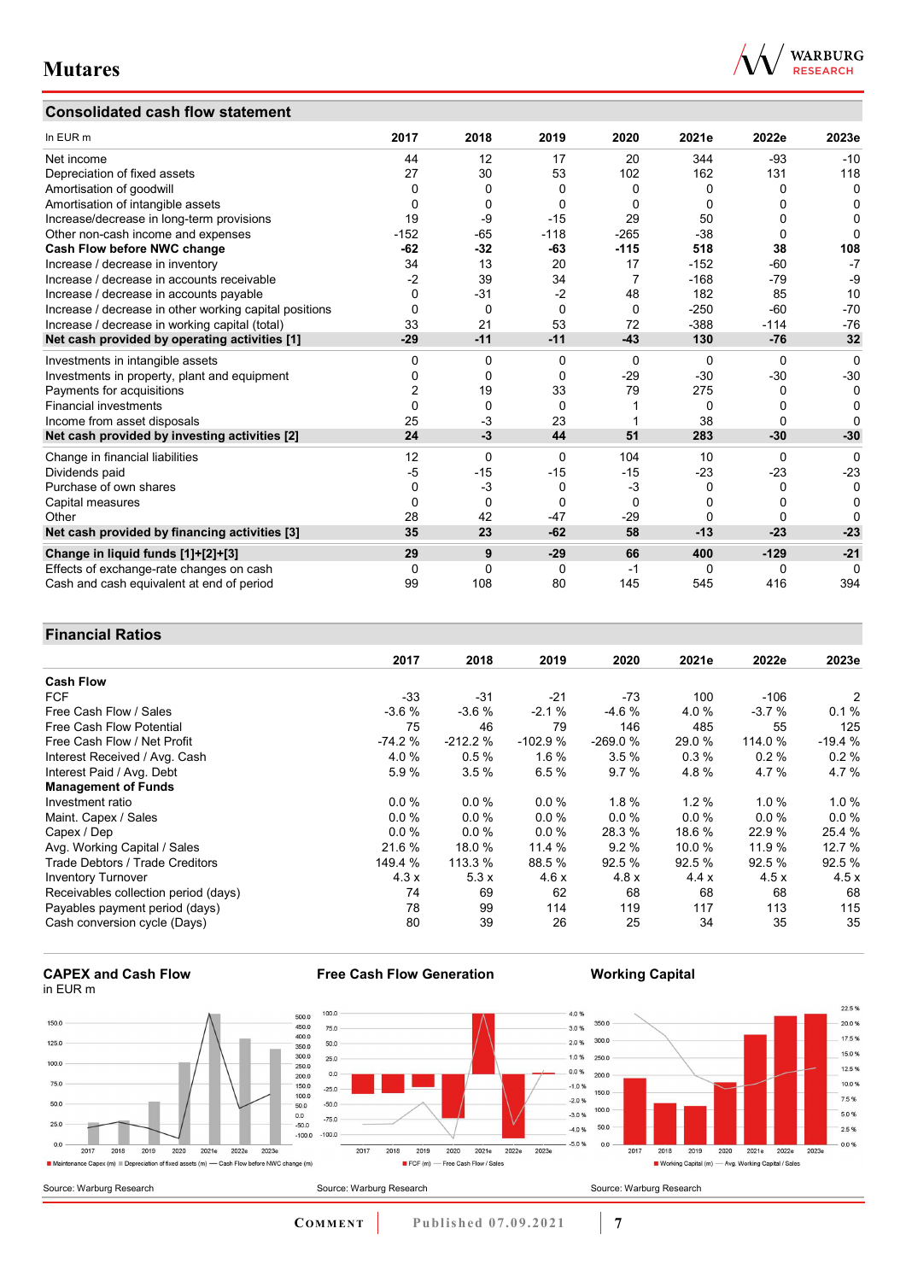## **Consolidated cash flow statement**



| In EUR m                                               | 2017           | 2018     | 2019     | 2020     | 2021e    | 2022e    | 2023e        |
|--------------------------------------------------------|----------------|----------|----------|----------|----------|----------|--------------|
| Net income                                             | 44             | 12       | 17       | 20       | 344      | $-93$    | $-10$        |
| Depreciation of fixed assets                           | 27             | 30       | 53       | 102      | 162      | 131      | 118          |
| Amortisation of goodwill                               | 0              | 0        | 0        | 0        | 0        | 0        | 0            |
| Amortisation of intangible assets                      | 0              | 0        | 0        | 0        | 0        |          | 0            |
| Increase/decrease in long-term provisions              | 19             | -9       | $-15$    | 29       | 50       | 0        | 0            |
| Other non-cash income and expenses                     | $-152$         | $-65$    | $-118$   | $-265$   | $-38$    | 0        | 0            |
| Cash Flow before NWC change                            | $-62$          | $-32$    | -63      | $-115$   | 518      | 38       | 108          |
| Increase / decrease in inventory                       | 34             | 13       | 20       | 17       | $-152$   | -60      | $-7$         |
| Increase / decrease in accounts receivable             | $-2$           | 39       | 34       | 7        | $-168$   | $-79$    | $-9$         |
| Increase / decrease in accounts payable                | 0              | $-31$    | $-2$     | 48       | 182      | 85       | 10           |
| Increase / decrease in other working capital positions | $\Omega$       | 0        | $\Omega$ | $\Omega$ | $-250$   | $-60$    | $-70$        |
| Increase / decrease in working capital (total)         | 33             | 21       | 53       | 72       | $-388$   | $-114$   | $-76$        |
| Net cash provided by operating activities [1]          | $-29$          | $-11$    | $-11$    | $-43$    | 130      | $-76$    | 32           |
| Investments in intangible assets                       | 0              | 0        | $\Omega$ | $\Omega$ | 0        | $\Omega$ | $\mathbf{0}$ |
| Investments in property, plant and equipment           | 0              | 0        | $\Omega$ | $-29$    | $-30$    | $-30$    | $-30$        |
| Payments for acquisitions                              | $\overline{2}$ | 19       | 33       | 79       | 275      | 0        | 0            |
| <b>Financial investments</b>                           | $\Omega$       | $\Omega$ | $\Omega$ |          | $\Omega$ | 0        | 0            |
| Income from asset disposals                            | 25             | $-3$     | 23       |          | 38       | 0        | O            |
| Net cash provided by investing activities [2]          | 24             | -3       | 44       | 51       | 283      | $-30$    | $-30$        |
| Change in financial liabilities                        | 12             | $\Omega$ | $\Omega$ | 104      | 10       | 0        | $\Omega$     |
| Dividends paid                                         | $-5$           | $-15$    | $-15$    | $-15$    | $-23$    | $-23$    | $-23$        |
| Purchase of own shares                                 | 0              | $-3$     | 0        | $-3$     | $\Omega$ | 0        | 0            |
| Capital measures                                       | $\Omega$       | 0        | $\Omega$ | $\Omega$ | 0        | 0        | 0            |
| Other                                                  | 28             | 42       | $-47$    | $-29$    | 0        | 0        | O            |
| Net cash provided by financing activities [3]          | 35             | 23       | $-62$    | 58       | $-13$    | $-23$    | $-23$        |
| Change in liquid funds [1]+[2]+[3]                     | 29             | 9        | $-29$    | 66       | 400      | $-129$   | $-21$        |
| Effects of exchange-rate changes on cash               | 0              | 0        | 0        | -1       | 0        | 0        | $\Omega$     |
| Cash and cash equivalent at end of period              | 99             | 108      | 80       | 145      | 545      | 416      | 394          |

## **Financial Ratios**

|                                      | 2017     | 2018      | 2019      | 2020      | 2021e   | 2022e    | 2023e    |
|--------------------------------------|----------|-----------|-----------|-----------|---------|----------|----------|
| <b>Cash Flow</b>                     |          |           |           |           |         |          |          |
| <b>FCF</b>                           | -33      | $-31$     | $-21$     | $-73$     | 100     | $-106$   | 2        |
| Free Cash Flow / Sales               | $-3.6%$  | $-3.6%$   | $-2.1%$   | $-4.6%$   | 4.0 %   | $-3.7%$  | 0.1%     |
| Free Cash Flow Potential             | 75       | 46        | 79        | 146       | 485     | 55       | 125      |
| Free Cash Flow / Net Profit          | $-74.2%$ | $-212.2%$ | $-102.9%$ | $-269.0%$ | 29.0 %  | 114.0 %  | $-19.4%$ |
| Interest Received / Avg. Cash        | 4.0%     | 0.5%      | 1.6%      | 3.5%      | 0.3%    | 0.2%     | 0.2%     |
| Interest Paid / Avg. Debt            | 5.9%     | 3.5%      | 6.5%      | 9.7%      | 4.8%    | 4.7%     | 4.7%     |
| <b>Management of Funds</b>           |          |           |           |           |         |          |          |
| Investment ratio                     | $0.0\%$  | $0.0\%$   | $0.0\%$   | $1.8 \%$  | 1.2%    | $1.0 \%$ | $1.0 \%$ |
| Maint. Capex / Sales                 | $0.0\%$  | $0.0\%$   | $0.0\%$   | $0.0\%$   | $0.0\%$ | $0.0\%$  | 0.0%     |
| Capex / Dep                          | $0.0\%$  | $0.0\%$   | $0.0\%$   | 28.3 %    | 18.6 %  | 22.9%    | 25.4 %   |
| Avg. Working Capital / Sales         | 21.6 %   | 18.0 %    | 11.4 %    | 9.2%      | 10.0%   | 11.9 %   | 12.7 %   |
| Trade Debtors / Trade Creditors      | 149.4 %  | 113.3 %   | 88.5 %    | 92.5%     | 92.5 %  | 92.5 %   | 92.5 %   |
| <b>Inventory Turnover</b>            | 4.3x     | 5.3x      | 4.6x      | 4.8x      | 4.4x    | 4.5x     | 4.5x     |
| Receivables collection period (days) | 74       | 69        | 62        | 68        | 68      | 68       | 68       |
| Payables payment period (days)       | 78       | 99        | 114       | 119       | 117     | 113      | 115      |
| Cash conversion cycle (Days)         | 80       | 39        | 26        | 25        | 34      | 35       | 35       |





**Free Cash Flow Generation**



**Working Capital**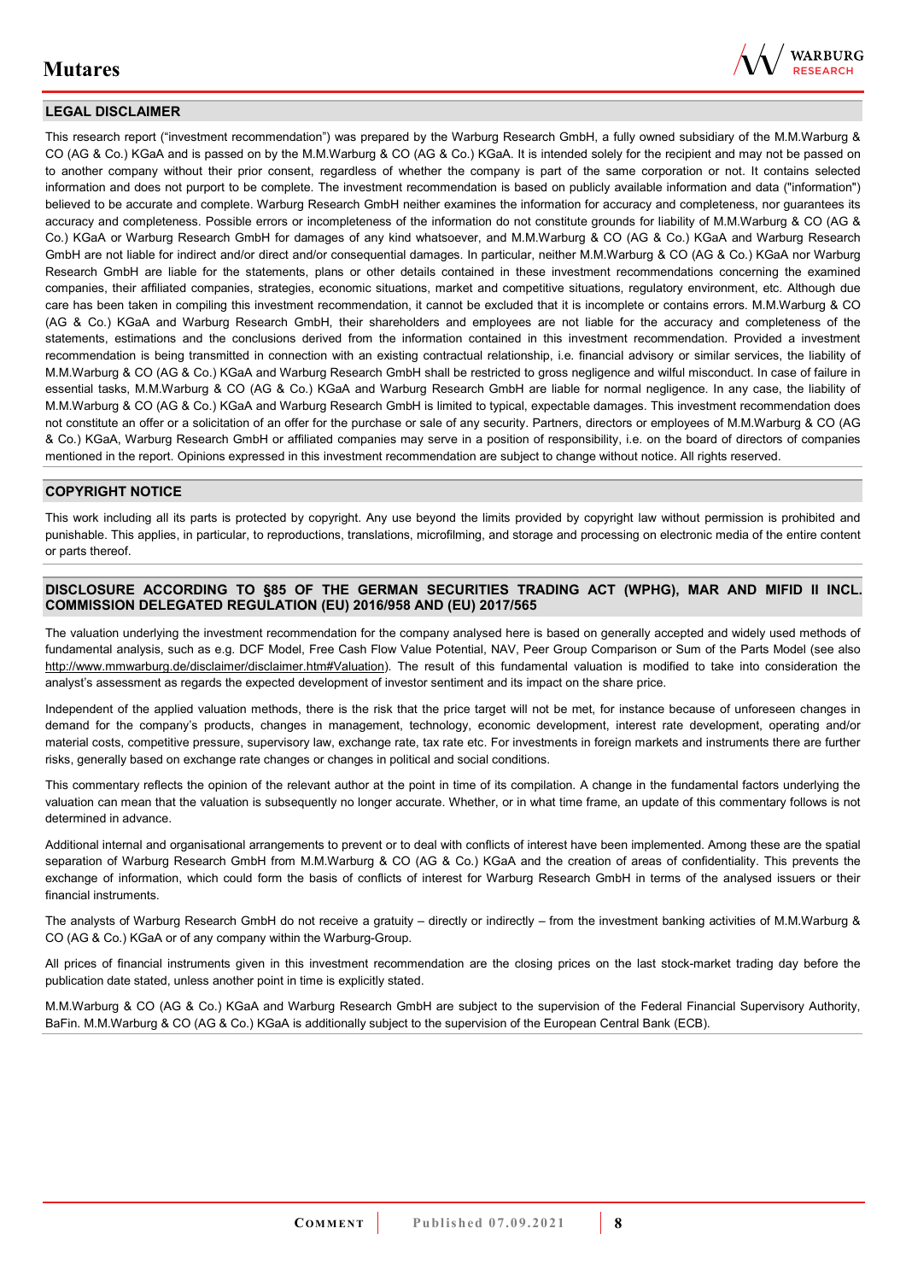

### **LEGAL DISCLAIMER**

This research report ("investment recommendation") was prepared by the Warburg Research GmbH, a fully owned subsidiary of the M.M.Warburg & CO (AG & Co.) KGaA and is passed on by the M.M.Warburg & CO (AG & Co.) KGaA. It is intended solely for the recipient and may not be passed on to another company without their prior consent, regardless of whether the company is part of the same corporation or not. It contains selected information and does not purport to be complete. The investment recommendation is based on publicly available information and data ("information") believed to be accurate and complete. Warburg Research GmbH neither examines the information for accuracy and completeness, nor guarantees its accuracy and completeness. Possible errors or incompleteness of the information do not constitute grounds for liability of M.M.Warburg & CO (AG & Co.) KGaA or Warburg Research GmbH for damages of any kind whatsoever, and M.M.Warburg & CO (AG & Co.) KGaA and Warburg Research GmbH are not liable for indirect and/or direct and/or consequential damages. In particular, neither M.M.Warburg & CO (AG & Co.) KGaA nor Warburg Research GmbH are liable for the statements, plans or other details contained in these investment recommendations concerning the examined companies, their affiliated companies, strategies, economic situations, market and competitive situations, regulatory environment, etc. Although due care has been taken in compiling this investment recommendation, it cannot be excluded that it is incomplete or contains errors. M.M.Warburg & CO (AG & Co.) KGaA and Warburg Research GmbH, their shareholders and employees are not liable for the accuracy and completeness of the statements, estimations and the conclusions derived from the information contained in this investment recommendation. Provided a investment recommendation is being transmitted in connection with an existing contractual relationship, i.e. financial advisory or similar services, the liability of M.M.Warburg & CO (AG & Co.) KGaA and Warburg Research GmbH shall be restricted to gross negligence and wilful misconduct. In case of failure in essential tasks, M.M.Warburg & CO (AG & Co.) KGaA and Warburg Research GmbH are liable for normal negligence. In any case, the liability of M.M.Warburg & CO (AG & Co.) KGaA and Warburg Research GmbH is limited to typical, expectable damages. This investment recommendation does not constitute an offer or a solicitation of an offer for the purchase or sale of any security. Partners, directors or employees of M.M.Warburg & CO (AG & Co.) KGaA, Warburg Research GmbH or affiliated companies may serve in a position of responsibility, i.e. on the board of directors of companies mentioned in the report. Opinions expressed in this investment recommendation are subject to change without notice. All rights reserved.

### **COPYRIGHT NOTICE**

This work including all its parts is protected by copyright. Any use beyond the limits provided by copyright law without permission is prohibited and punishable. This applies, in particular, to reproductions, translations, microfilming, and storage and processing on electronic media of the entire content or parts thereof.

### **DISCLOSURE ACCORDING TO §85 OF THE GERMAN SECURITIES TRADING ACT (WPHG), MAR AND MIFID II INCL. COMMISSION DELEGATED REGULATION (EU) 2016/958 AND (EU) 2017/565**

The valuation underlying the investment recommendation for the company analysed here is based on generally accepted and widely used methods of fundamental analysis, such as e.g. DCF Model, Free Cash Flow Value Potential, NAV, Peer Group Comparison or Sum of the Parts Model (see also [http://www.mmwarburg.de/disclaimer/disclaimer.htm#Valuation\)](http://www.mmwarburg.de/disclaimer/disclaimer.htm#Valuation). The result of this fundamental valuation is modified to take into consideration the analyst's assessment as regards the expected development of investor sentiment and its impact on the share price.

Independent of the applied valuation methods, there is the risk that the price target will not be met, for instance because of unforeseen changes in demand for the company's products, changes in management, technology, economic development, interest rate development, operating and/or material costs, competitive pressure, supervisory law, exchange rate, tax rate etc. For investments in foreign markets and instruments there are further risks, generally based on exchange rate changes or changes in political and social conditions.

This commentary reflects the opinion of the relevant author at the point in time of its compilation. A change in the fundamental factors underlying the valuation can mean that the valuation is subsequently no longer accurate. Whether, or in what time frame, an update of this commentary follows is not determined in advance.

Additional internal and organisational arrangements to prevent or to deal with conflicts of interest have been implemented. Among these are the spatial separation of Warburg Research GmbH from M.M.Warburg & CO (AG & Co.) KGaA and the creation of areas of confidentiality. This prevents the exchange of information, which could form the basis of conflicts of interest for Warburg Research GmbH in terms of the analysed issuers or their financial instruments.

The analysts of Warburg Research GmbH do not receive a gratuity – directly or indirectly – from the investment banking activities of M.M.Warburg & CO (AG & Co.) KGaA or of any company within the Warburg-Group.

All prices of financial instruments given in this investment recommendation are the closing prices on the last stock-market trading day before the publication date stated, unless another point in time is explicitly stated.

M.M.Warburg & CO (AG & Co.) KGaA and Warburg Research GmbH are subject to the supervision of the Federal Financial Supervisory Authority, BaFin. M.M.Warburg & CO (AG & Co.) KGaA is additionally subject to the supervision of the European Central Bank (ECB).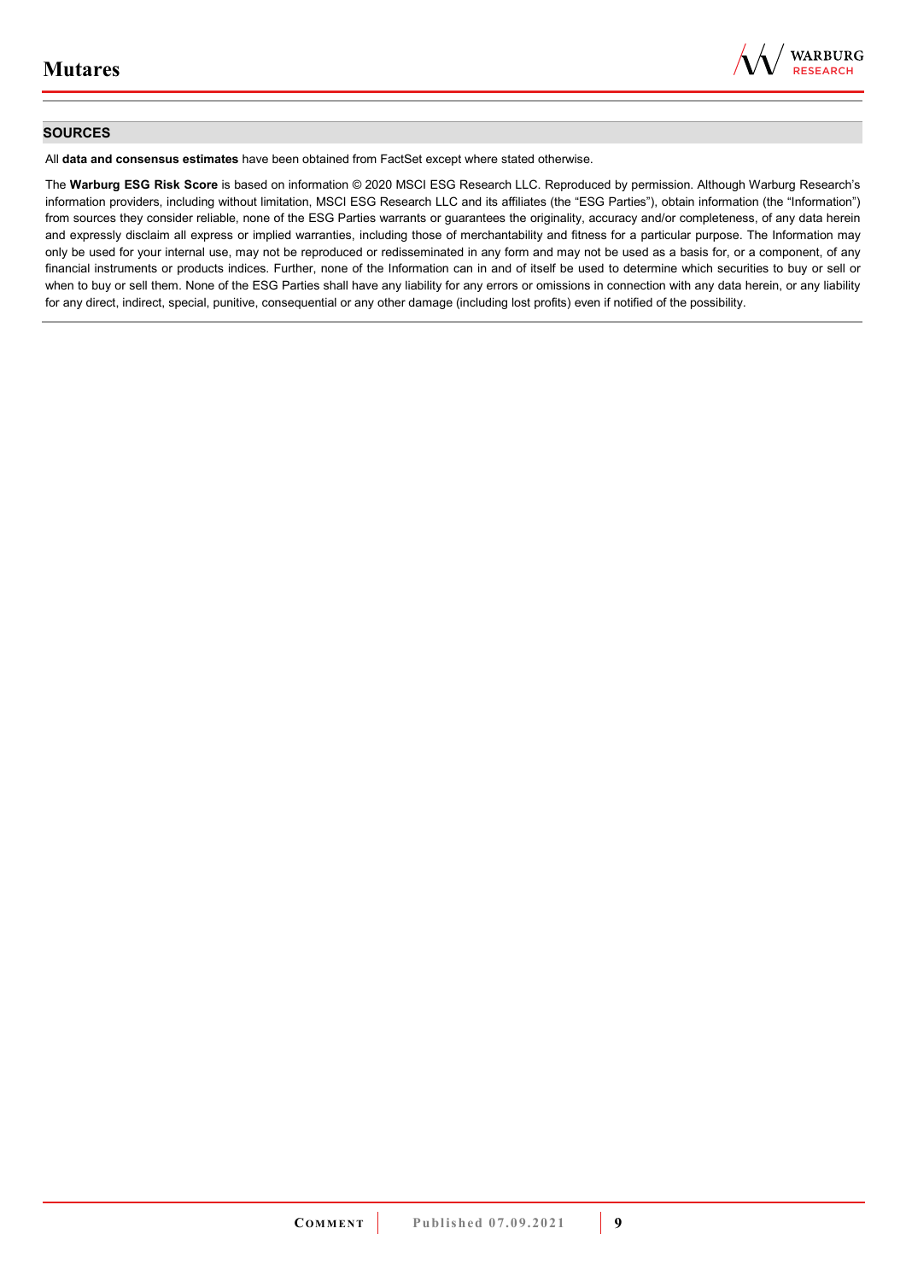

### **SOURCES**

All **data and consensus estimates** have been obtained from FactSet except where stated otherwise.

The **Warburg ESG Risk Score** is based on information © 2020 MSCI ESG Research LLC. Reproduced by permission. Although Warburg Research's information providers, including without limitation, MSCI ESG Research LLC and its affiliates (the "ESG Parties"), obtain information (the "Information") from sources they consider reliable, none of the ESG Parties warrants or guarantees the originality, accuracy and/or completeness, of any data herein and expressly disclaim all express or implied warranties, including those of merchantability and fitness for a particular purpose. The Information may only be used for your internal use, may not be reproduced or redisseminated in any form and may not be used as a basis for, or a component, of any financial instruments or products indices. Further, none of the Information can in and of itself be used to determine which securities to buy or sell or when to buy or sell them. None of the ESG Parties shall have any liability for any errors or omissions in connection with any data herein, or any liability for any direct, indirect, special, punitive, consequential or any other damage (including lost profits) even if notified of the possibility.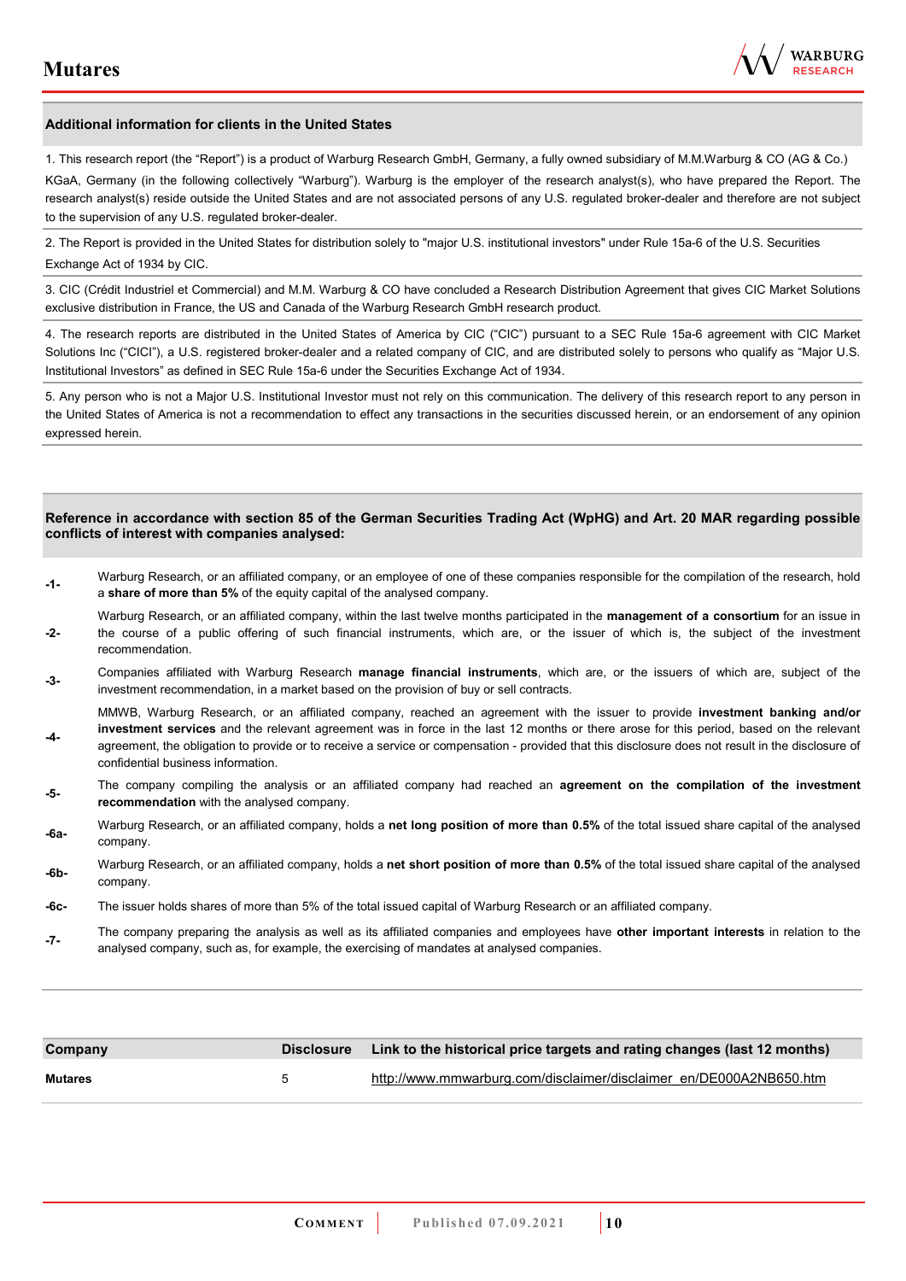

#### **Additional information for clients in the United States**

1. This research report (the "Report") is a product of Warburg Research GmbH, Germany, a fully owned subsidiary of M.M.Warburg & CO (AG & Co.)

KGaA, Germany (in the following collectively "Warburg"). Warburg is the employer of the research analyst(s), who have prepared the Report. The research analyst(s) reside outside the United States and are not associated persons of any U.S. regulated broker-dealer and therefore are not subject to the supervision of any U.S. regulated broker-dealer.

2. The Report is provided in the United States for distribution solely to "major U.S. institutional investors" under Rule 15a-6 of the U.S. Securities Exchange Act of 1934 by CIC.

3. CIC (Crédit Industriel et Commercial) and M.M. Warburg & CO have concluded a Research Distribution Agreement that gives CIC Market Solutions exclusive distribution in France, the US and Canada of the Warburg Research GmbH research product.

4. The research reports are distributed in the United States of America by CIC ("CIC") pursuant to a SEC Rule 15a-6 agreement with CIC Market Solutions Inc ("CICI"), a U.S. registered broker-dealer and a related company of CIC, and are distributed solely to persons who qualify as "Major U.S. Institutional Investors" as defined in SEC Rule 15a-6 under the Securities Exchange Act of 1934.

5. Any person who is not a Major U.S. Institutional Investor must not rely on this communication. The delivery of this research report to any person in the United States of America is not a recommendation to effect any transactions in the securities discussed herein, or an endorsement of any opinion expressed herein.

#### **Reference in accordance with section 85 of the German Securities Trading Act (WpHG) and Art. 20 MAR regarding possible conflicts of interest with companies analysed:**

- **-1-** Warburg Research, or an affiliated company, or an employee of one of these companies responsible for the compilation of the research, hold a **share of more than 5%** of the equity capital of the analysed company.
- **-2-**  Warburg Research, or an affiliated company, within the last twelve months participated in the **management of a consortium** for an issue in the course of a public offering of such financial instruments, which are, or the issuer of which is, the subject of the investment recommendation.
- **-3-** Companies affiliated with Warburg Research **manage financial instruments**, which are, or the issuers of which are, subject of the investment recommendation, in a market based on the provision of buy or sell contracts.

MMWB, Warburg Research, or an affiliated company, reached an agreement with the issuer to provide **investment banking and/or investment services** and the relevant agreement was in force in the last 12 months or there arose for this period, based on the relevant

- **-4**  agreement, the obligation to provide or to receive a service or compensation - provided that this disclosure does not result in the disclosure of confidential business information.
- **-5-** The company compiling the analysis or an affiliated company had reached an **agreement on the compilation of the investment recommendation** with the analysed company.
- **-6a-** Warburg Research, or an affiliated company, holds a **net long position of more than 0.5%** of the total issued share capital of the analysed company.
- **-6b-** Warburg Research, or an affiliated company, holds a **net short position of more than 0.5%** of the total issued share capital of the analysed company.
- **-6c-** The issuer holds shares of more than 5% of the total issued capital of Warburg Research or an affiliated company.
- **-7-** The company preparing the analysis as well as its affiliated companies and employees have **other important interests** in relation to the analysed company, such as, for example, the exercising of mandates at analysed companies.

| Company        | <b>Disclosure</b> | Link to the historical price targets and rating changes (last 12 months) |
|----------------|-------------------|--------------------------------------------------------------------------|
| <b>Mutares</b> | 5                 | http://www.mmwarburg.com/disclaimer/disclaimer_en/DE000A2NB650.htm       |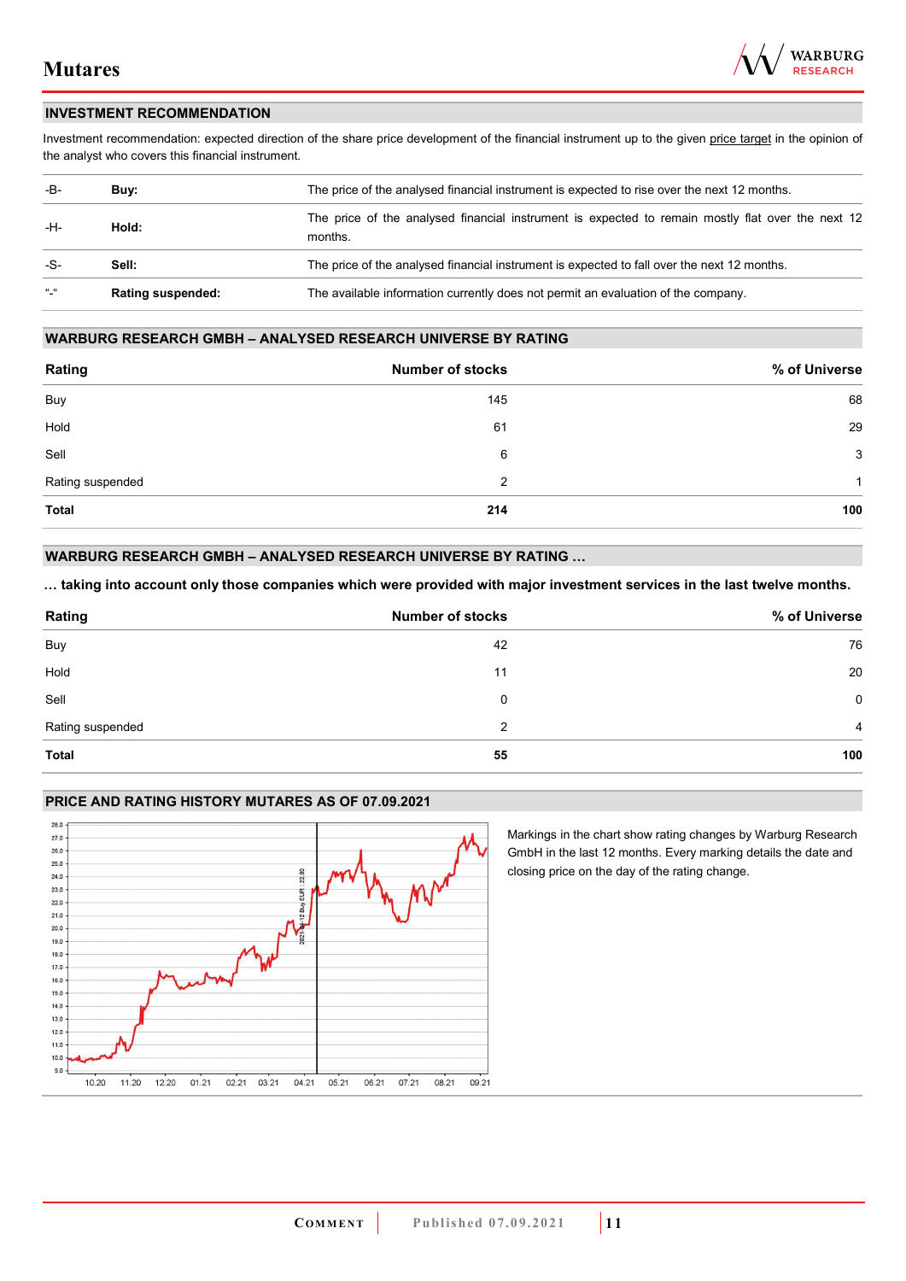

### **INVESTMENT RECOMMENDATION**

Investment recommendation: expected direction of the share price development of the financial instrument up to the given price target in the opinion of the analyst who covers this financial instrument.

| -B-           | Buy:                     | The price of the analysed financial instrument is expected to rise over the next 12 months.                  |  |
|---------------|--------------------------|--------------------------------------------------------------------------------------------------------------|--|
| -H-           | Hold:                    | The price of the analysed financial instrument is expected to remain mostly flat over the next 12<br>months. |  |
| -S-           | Sell:                    | The price of the analysed financial instrument is expected to fall over the next 12 months.                  |  |
| $\frac{1}{2}$ | <b>Rating suspended:</b> | The available information currently does not permit an evaluation of the company.                            |  |

### **WARBURG RESEARCH GMBH – ANALYSED RESEARCH UNIVERSE BY RATING**

| Rating           | <b>Number of stocks</b> | % of Universe |
|------------------|-------------------------|---------------|
| Buy              | 145                     | 68            |
| Hold             | 61                      | 29            |
| Sell             | 6                       | 3             |
| Rating suspended | 2                       | 1             |
| <b>Total</b>     | 214                     | 100           |

### **WARBURG RESEARCH GMBH – ANALYSED RESEARCH UNIVERSE BY RATING …**

**… taking into account only those companies which were provided with major investment services in the last twelve months.** 

| Rating           | <b>Number of stocks</b> | % of Universe  |
|------------------|-------------------------|----------------|
| Buy              | 42                      | 76             |
| Hold             | 11                      | 20             |
| Sell             | 0                       | $\mathbf 0$    |
| Rating suspended | 2                       | $\overline{4}$ |
| <b>Total</b>     | 55                      | 100            |

#### **PRICE AND RATING HISTORY MUTARES AS OF 07.09.2021**



Markings in the chart show rating changes by Warburg Research GmbH in the last 12 months. Every marking details the date and closing price on the day of the rating change.